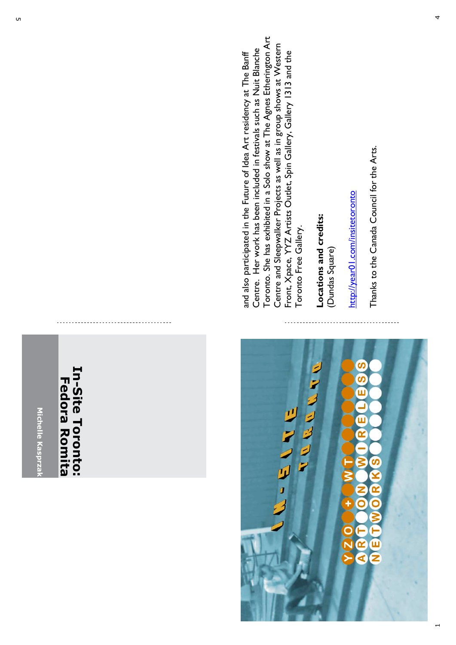

## In-Site Toronto: **In-Site Toronto: Fedora Romita Fedora Romita**



Toronto. She has exhibited in a Solo show at The Agnes Etherington Art Toronto. She has exhibited in a Solo show at The Agnes Etherington Art Centre and Sleepwalker Projects as well as in group shows at Western<br>Front, Xpace, YYZ Artists Outlet, Spin Gallery, Gallery 1313 and the Centre and Sleepwalker Projects as well as in group shows at Western Centre. Her work has been included in festivals such as Nuit Blanche Centre. Her work has been included in festivals such as Nuit Blanche Front, Xpace, YYZ Artists Outlet, Spin Gallery, Gallery 1313 and the and also participated in the Future of Idea Art residency at The Banff and also participated in the Future of Idea Art residency at The Banff Toronto Free Gallery. Toronto Free Gallery.

**Locations and credits :** (Dundas Square  $\widehat{\phantom{a}}$  http://year01.com/insitetoronto http://year01.com/insitetoronto Thanks to the Canada Council for the Arts. Thanks to the Canada Council for the Arts.